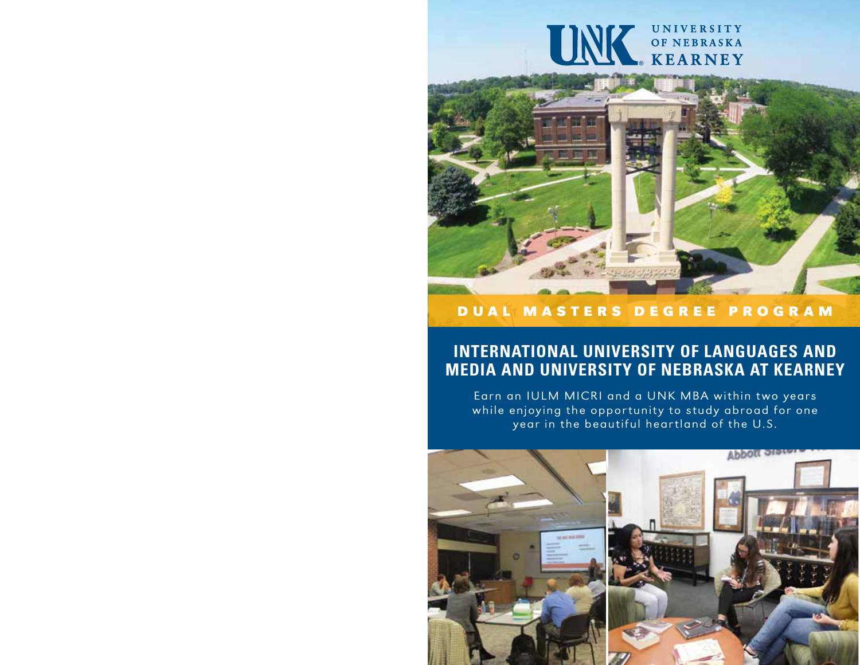# UNK OF NEBRASKA

# D U A L M A S T E R S D E G R E E P R O G R A M

# **INTERNATIONAL UNIVERSITY OF LANGUAGES AND MEDIA AND UNIVERSITY OF NEBRASKA AT KEARNEY**

Earn an IULM MICRI and a UNK MBA within two years while enjoying the opportunity to study abroad for one year in the beautiful heartland of the U.S.

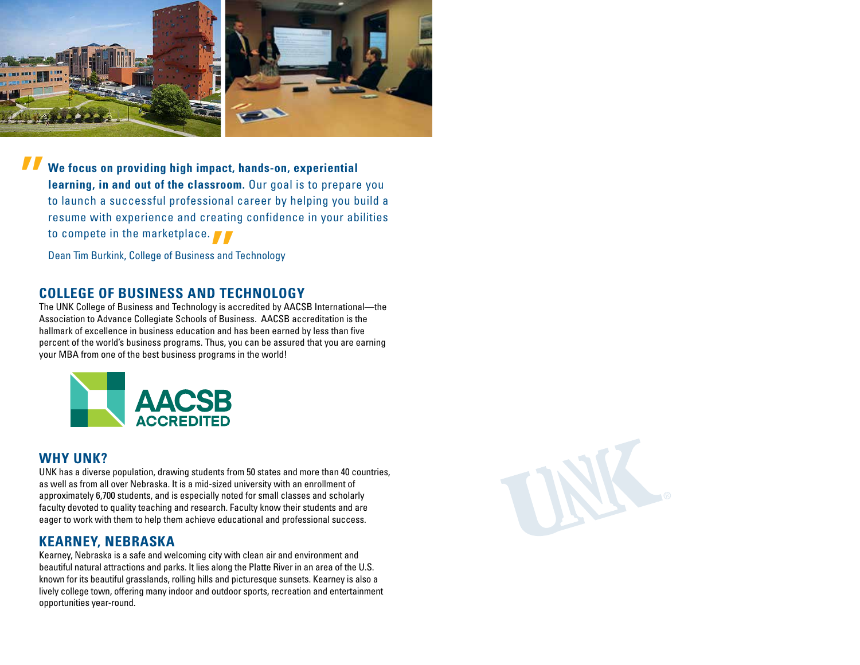

**We focus on providing high impact, hands-on, experiential learning, in and out of the classroom.** Our goal is to prepare you to launch a successful professional career by helping you build a resume with experience and creating confidence in your abilities to compete in the marketplace. " Sand<br>The Sand<br>The Theory

Dean Tim Burkink, College of Business and Technology

# **COLLEGE OF BUSINESS AND TECHNOLOGY**

The UNK College of Business and Technology is accredited by AACSB International—the Association to Advance Collegiate Schools of Business. AACSB accreditation is the hallmark of excellence in business education and has been earned by less than five percent of the world's business programs. Thus, you can be assured that you are earning your MBA from one of the best business programs in the world!



## **WHY UNK?**

UNK has a diverse population, drawing students from 50 states and more than 40 countries, as well as from all over Nebraska. It is a mid-sized university with an enrollment of approximately 6,700 students, and is especially noted for small classes and scholarly faculty devoted to quality teaching and research. Faculty know their students and are eager to work with them to help them achieve educational and professional success.

# **KEARNEY, NEBRASKA**

Kearney, Nebraska is a safe and welcoming city with clean air and environment and beautiful natural attractions and parks. It lies along the Platte River in an area of the U.S. known for its beautiful grasslands, rolling hills and picturesque sunsets. Kearney is also a lively college town, offering many indoor and outdoor sports, recreation and entertainment opportunities year-round.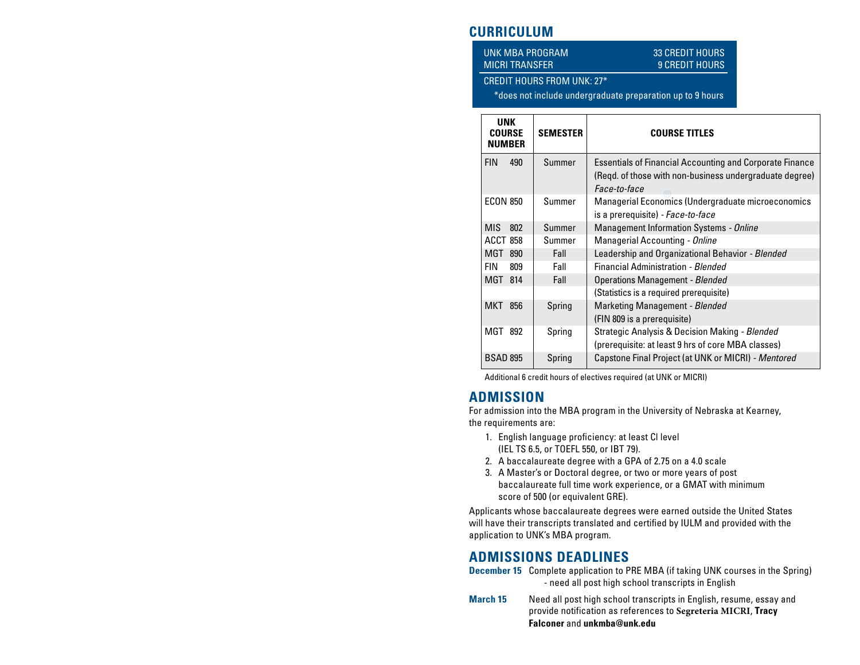# **CURRICULUM**

UNK MBA PROGRAM 33 CREDIT HOURS

# MICRI TRANSFER 9 CREDIT HOURS

#### CREDIT HOURS FROM UNK: 27\*

\*does not include undergraduate preparation up to 9 hours

| <b>UNK</b><br><b>COURSE</b><br><b>NUMBER</b> | <b>SEMESTER</b> | <b>COURSE TITLES</b>                                                                                                                       |
|----------------------------------------------|-----------------|--------------------------------------------------------------------------------------------------------------------------------------------|
| <b>FIN</b><br>490                            | Summer          | <b>Essentials of Financial Accounting and Corporate Finance</b><br>(Regd. of those with non-business undergraduate degree)<br>Face-to-face |
| <b>ECON 850</b>                              | Summer          | Managerial Economics (Undergraduate microeconomics<br>is a prerequisite) - Face-to-face                                                    |
| <b>MIS</b><br>802                            | Summer          | <b>Management Information Systems - Online</b>                                                                                             |
| <b>ACCT 858</b>                              | Summer          | Managerial Accounting - Online                                                                                                             |
| MGT 890                                      | Fall            | Leadership and Organizational Behavior - Blended                                                                                           |
| <b>FIN</b><br>809                            | Fall            | Financial Administration - Blended                                                                                                         |
| MGT 814                                      | Fall            | <b>Operations Management - Blended</b>                                                                                                     |
|                                              |                 | (Statistics is a required prerequisite)                                                                                                    |
| <b>MKT 856</b>                               | Spring          | Marketing Management - Blended                                                                                                             |
|                                              |                 | (FIN 809 is a prerequisite)                                                                                                                |
| MGT 892                                      | Spring          | Strategic Analysis & Decision Making - Blended                                                                                             |
|                                              |                 | (prerequisite: at least 9 hrs of core MBA classes)                                                                                         |
| <b>BSAD 895</b>                              | Spring          | Capstone Final Project (at UNK or MICRI) - Mentored                                                                                        |

Additional 6 credit hours of electives required (at UNK or MICRI)

## **ADMISSION**

For admission into the MBA program in the University of Nebraska at Kearney, the requirements are:

- 1. English language proficiency: at least Cl level (IEL TS 6.5, or TOEFL 550, or IBT 79).
- 2. A baccalaureate degree with a GPA of 2.75 on a 4.0 scale
- 3. A Master's or Doctoral degree, or two or more years of post baccalaureate full time work experience, or a GMAT with minimum score of 500 (or equivalent GRE).

Applicants whose baccalaureate degrees were earned outside the United States will have their transcripts translated and certified by IULM and provided with the application to UNK's MBA program.

# **ADMISSIONS DEADLINES**



**March 15** Need all post high school transcripts in English, resume, essay and provide notification as references to **Segreteria MICRI**, **Tracy Falconer** and **unkmba@unk.edu**